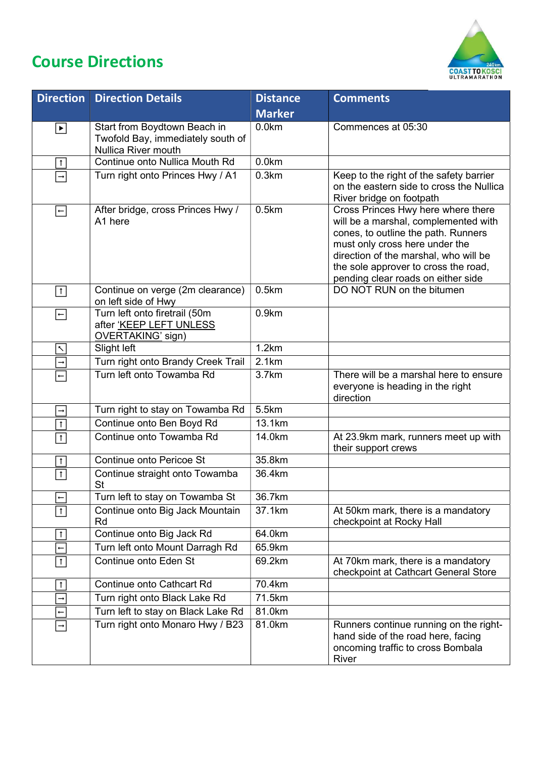## Course Directions



| <b>Direction</b>         | <b>Direction Details</b>                                                                 | <b>Distance</b> | <b>Comments</b>                                                                                                                                                                                                                                                            |
|--------------------------|------------------------------------------------------------------------------------------|-----------------|----------------------------------------------------------------------------------------------------------------------------------------------------------------------------------------------------------------------------------------------------------------------------|
|                          |                                                                                          | <b>Marker</b>   |                                                                                                                                                                                                                                                                            |
| $ \bullet $              | Start from Boydtown Beach in<br>Twofold Bay, immediately south of<br>Nullica River mouth | 0.0km           | Commences at 05:30                                                                                                                                                                                                                                                         |
| $\overline{1}$           | Continue onto Nullica Mouth Rd                                                           | 0.0km           |                                                                                                                                                                                                                                                                            |
| $\rightarrow$            | Turn right onto Princes Hwy / A1                                                         | 0.3km           | Keep to the right of the safety barrier<br>on the eastern side to cross the Nullica<br>River bridge on footpath                                                                                                                                                            |
| $\left  - \right $       | After bridge, cross Princes Hwy /<br>A1 here                                             | 0.5km           | Cross Princes Hwy here where there<br>will be a marshal, complemented with<br>cones, to outline the path. Runners<br>must only cross here under the<br>direction of the marshal, who will be<br>the sole approver to cross the road,<br>pending clear roads on either side |
| $\boxed{1}$              | Continue on verge (2m clearance)<br>on left side of Hwy                                  | 0.5km           | DO NOT RUN on the bitumen                                                                                                                                                                                                                                                  |
| $\left  - \right $       | Turn left onto firetrail (50m<br>after 'KEEP LEFT UNLESS<br>OVERTAKING' sign)            | 0.9km           |                                                                                                                                                                                                                                                                            |
| $\overline{\phantom{0}}$ | Slight left                                                                              | 1.2km           |                                                                                                                                                                                                                                                                            |
| $\rightarrow$            | Turn right onto Brandy Creek Trail                                                       | 2.1km           |                                                                                                                                                                                                                                                                            |
| $\left  - \right $       | Turn left onto Towamba Rd                                                                | 3.7km           | There will be a marshal here to ensure<br>everyone is heading in the right<br>direction                                                                                                                                                                                    |
| $\rightarrow$            | Turn right to stay on Towamba Rd                                                         | 5.5km           |                                                                                                                                                                                                                                                                            |
| $\overline{1}$           | Continue onto Ben Boyd Rd                                                                | 13.1km          |                                                                                                                                                                                                                                                                            |
| $\uparrow$               | Continue onto Towamba Rd                                                                 | 14.0km          | At 23.9km mark, runners meet up with<br>their support crews                                                                                                                                                                                                                |
| $\overline{1}$           | Continue onto Pericoe St                                                                 | 35.8km          |                                                                                                                                                                                                                                                                            |
| $\overline{1}$           | Continue straight onto Towamba<br><b>St</b>                                              | 36.4km          |                                                                                                                                                                                                                                                                            |
| $\leftarrow$             | Turn left to stay on Towamba St                                                          | 36.7km          |                                                                                                                                                                                                                                                                            |
| $\uparrow$               | Continue onto Big Jack Mountain<br>Rd                                                    | 37.1km          | At 50km mark, there is a mandatory<br>checkpoint at Rocky Hall                                                                                                                                                                                                             |
| $\uparrow$               | Continue onto Big Jack Rd                                                                | 64.0km          |                                                                                                                                                                                                                                                                            |
| $\leftarrow$             | Turn left onto Mount Darragh Rd                                                          | 65.9km          |                                                                                                                                                                                                                                                                            |
| $\uparrow$               | Continue onto Eden St                                                                    | 69.2km          | At 70km mark, there is a mandatory<br>checkpoint at Cathcart General Store                                                                                                                                                                                                 |
| $\mathbf{r}$             | <b>Continue onto Cathcart Rd</b>                                                         | 70.4km          |                                                                                                                                                                                                                                                                            |
| $\rightarrow$            | Turn right onto Black Lake Rd                                                            | 71.5km          |                                                                                                                                                                                                                                                                            |
| $\leftarrow$             | Turn left to stay on Black Lake Rd                                                       | 81.0km          |                                                                                                                                                                                                                                                                            |
| $\rightarrow$            | Turn right onto Monaro Hwy / B23                                                         | 81.0km          | Runners continue running on the right-<br>hand side of the road here, facing<br>oncoming traffic to cross Bombala<br>River                                                                                                                                                 |